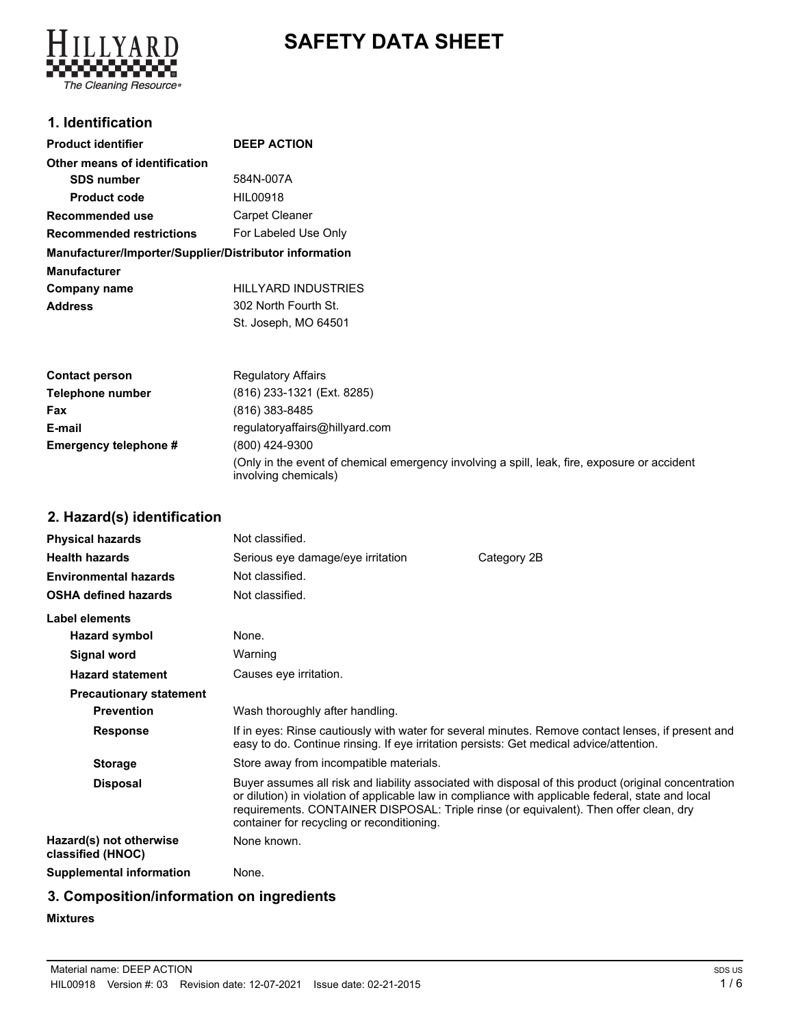# **SAFETY DATA SHEET**



#### **1. Identification**

| <b>Product identifier</b>                              | <b>DEEP ACTION</b>    |
|--------------------------------------------------------|-----------------------|
| Other means of identification                          |                       |
| <b>SDS number</b>                                      | 584N-007A             |
| <b>Product code</b>                                    | HIL00918              |
| Recommended use                                        | <b>Carpet Cleaner</b> |
| <b>Recommended restrictions</b>                        | For Labeled Use Only  |
| Manufacturer/Importer/Supplier/Distributor information |                       |
| <b>Manufacturer</b>                                    |                       |
| Company name                                           | HILLYARD INDUSTRIES   |
| <b>Address</b>                                         | 302 North Fourth St.  |
|                                                        | St. Joseph, MO 64501  |

| <b>Contact person</b> | <b>Regulatory Affairs</b>                                                                                            |
|-----------------------|----------------------------------------------------------------------------------------------------------------------|
| Telephone number      | (816) 233-1321 (Ext. 8285)                                                                                           |
| Fax                   | (816) 383-8485                                                                                                       |
| E-mail                | regulatoryaffairs@hillyard.com                                                                                       |
| Emergency telephone # | (800) 424-9300                                                                                                       |
|                       | (Only in the event of chemical emergency involving a spill, leak, fire, exposure or accident<br>involving chemicals) |

# **2. Hazard(s) identification**

| <b>Physical hazards</b>                      | Not classified.                            |                                                                                                                                                                                                                                                                                                      |
|----------------------------------------------|--------------------------------------------|------------------------------------------------------------------------------------------------------------------------------------------------------------------------------------------------------------------------------------------------------------------------------------------------------|
| <b>Health hazards</b>                        | Serious eye damage/eye irritation          | Category 2B                                                                                                                                                                                                                                                                                          |
| <b>Environmental hazards</b>                 | Not classified.                            |                                                                                                                                                                                                                                                                                                      |
| <b>OSHA defined hazards</b>                  | Not classified.                            |                                                                                                                                                                                                                                                                                                      |
| <b>Label elements</b>                        |                                            |                                                                                                                                                                                                                                                                                                      |
| <b>Hazard symbol</b>                         | None.                                      |                                                                                                                                                                                                                                                                                                      |
| Signal word                                  | Warning                                    |                                                                                                                                                                                                                                                                                                      |
| <b>Hazard statement</b>                      | Causes eye irritation.                     |                                                                                                                                                                                                                                                                                                      |
| <b>Precautionary statement</b>               |                                            |                                                                                                                                                                                                                                                                                                      |
| <b>Prevention</b>                            | Wash thoroughly after handling.            |                                                                                                                                                                                                                                                                                                      |
| <b>Response</b>                              |                                            | If in eyes: Rinse cautiously with water for several minutes. Remove contact lenses, if present and<br>easy to do. Continue rinsing. If eye irritation persists: Get medical advice/attention.                                                                                                        |
| <b>Storage</b>                               | Store away from incompatible materials.    |                                                                                                                                                                                                                                                                                                      |
| <b>Disposal</b>                              | container for recycling or reconditioning. | Buyer assumes all risk and liability associated with disposal of this product (original concentration<br>or dilution) in violation of applicable law in compliance with applicable federal, state and local<br>requirements. CONTAINER DISPOSAL: Triple rinse (or equivalent). Then offer clean, dry |
| Hazard(s) not otherwise<br>classified (HNOC) | None known.                                |                                                                                                                                                                                                                                                                                                      |
| <b>Supplemental information</b>              | None.                                      |                                                                                                                                                                                                                                                                                                      |

# **3. Composition/information on ingredients**

#### **Mixtures**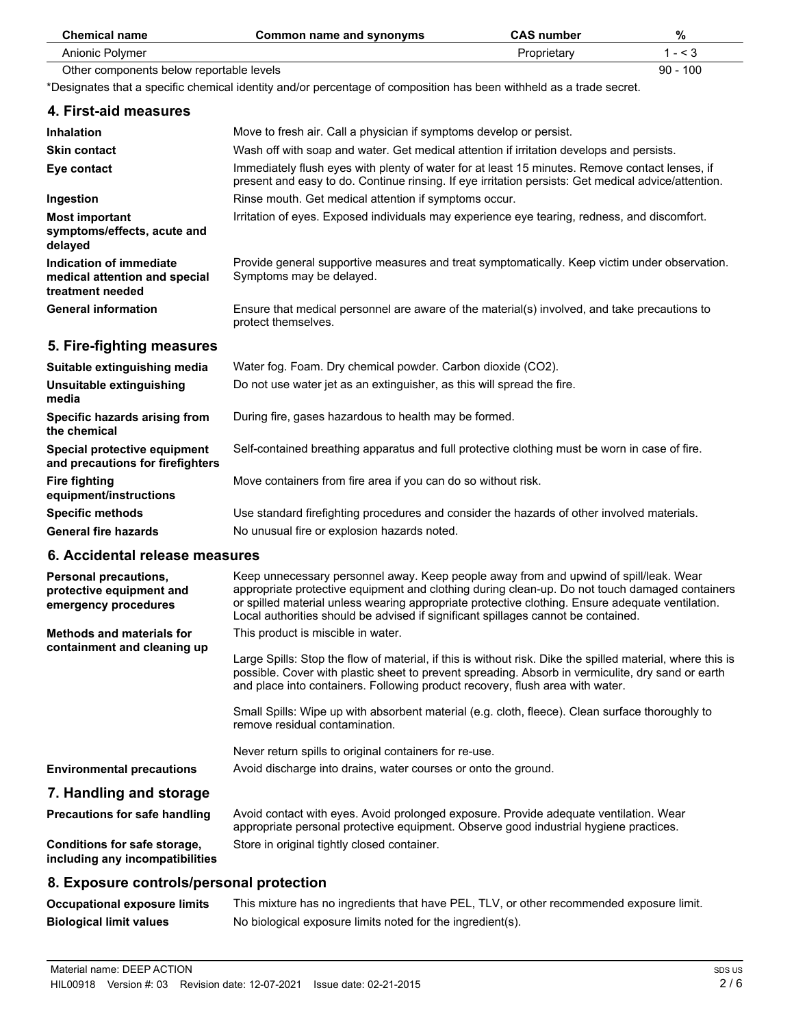| <b>Chemical name</b>                                                             | <b>Common name and synonyms</b>                                                                                                                                                                                                                                                                                                                                                  | <b>CAS number</b> | %          |
|----------------------------------------------------------------------------------|----------------------------------------------------------------------------------------------------------------------------------------------------------------------------------------------------------------------------------------------------------------------------------------------------------------------------------------------------------------------------------|-------------------|------------|
| Anionic Polymer                                                                  |                                                                                                                                                                                                                                                                                                                                                                                  | Proprietary       | $1 - 3$    |
| Other components below reportable levels                                         |                                                                                                                                                                                                                                                                                                                                                                                  |                   | $90 - 100$ |
|                                                                                  | *Designates that a specific chemical identity and/or percentage of composition has been withheld as a trade secret.                                                                                                                                                                                                                                                              |                   |            |
| 4. First-aid measures                                                            |                                                                                                                                                                                                                                                                                                                                                                                  |                   |            |
| <b>Inhalation</b>                                                                | Move to fresh air. Call a physician if symptoms develop or persist.                                                                                                                                                                                                                                                                                                              |                   |            |
| <b>Skin contact</b>                                                              | Wash off with soap and water. Get medical attention if irritation develops and persists.                                                                                                                                                                                                                                                                                         |                   |            |
| Eye contact                                                                      | Immediately flush eyes with plenty of water for at least 15 minutes. Remove contact lenses, if<br>present and easy to do. Continue rinsing. If eye irritation persists: Get medical advice/attention.                                                                                                                                                                            |                   |            |
| Ingestion                                                                        | Rinse mouth. Get medical attention if symptoms occur.                                                                                                                                                                                                                                                                                                                            |                   |            |
| <b>Most important</b><br>symptoms/effects, acute and<br>delayed                  | Irritation of eyes. Exposed individuals may experience eye tearing, redness, and discomfort.                                                                                                                                                                                                                                                                                     |                   |            |
| Indication of immediate<br>medical attention and special<br>treatment needed     | Provide general supportive measures and treat symptomatically. Keep victim under observation.<br>Symptoms may be delayed.                                                                                                                                                                                                                                                        |                   |            |
| <b>General information</b>                                                       | Ensure that medical personnel are aware of the material(s) involved, and take precautions to<br>protect themselves.                                                                                                                                                                                                                                                              |                   |            |
| 5. Fire-fighting measures                                                        |                                                                                                                                                                                                                                                                                                                                                                                  |                   |            |
| Suitable extinguishing media                                                     | Water fog. Foam. Dry chemical powder. Carbon dioxide (CO2).                                                                                                                                                                                                                                                                                                                      |                   |            |
| Unsuitable extinguishing<br>media                                                | Do not use water jet as an extinguisher, as this will spread the fire.                                                                                                                                                                                                                                                                                                           |                   |            |
| Specific hazards arising from<br>the chemical                                    | During fire, gases hazardous to health may be formed.                                                                                                                                                                                                                                                                                                                            |                   |            |
| Special protective equipment<br>and precautions for firefighters                 | Self-contained breathing apparatus and full protective clothing must be worn in case of fire.                                                                                                                                                                                                                                                                                    |                   |            |
| <b>Fire fighting</b><br>equipment/instructions                                   | Move containers from fire area if you can do so without risk.                                                                                                                                                                                                                                                                                                                    |                   |            |
| <b>Specific methods</b>                                                          | Use standard firefighting procedures and consider the hazards of other involved materials.                                                                                                                                                                                                                                                                                       |                   |            |
| <b>General fire hazards</b>                                                      | No unusual fire or explosion hazards noted.                                                                                                                                                                                                                                                                                                                                      |                   |            |
| 6. Accidental release measures                                                   |                                                                                                                                                                                                                                                                                                                                                                                  |                   |            |
| <b>Personal precautions,</b><br>protective equipment and<br>emergency procedures | Keep unnecessary personnel away. Keep people away from and upwind of spill/leak. Wear<br>appropriate protective equipment and clothing during clean-up. Do not touch damaged containers<br>or spilled material unless wearing appropriate protective clothing. Ensure adequate ventilation.<br>Local authorities should be advised if significant spillages cannot be contained. |                   |            |
| <b>Methods and materials for</b>                                                 | This product is miscible in water.                                                                                                                                                                                                                                                                                                                                               |                   |            |
| containment and cleaning up                                                      | Large Spills: Stop the flow of material, if this is without risk. Dike the spilled material, where this is<br>possible. Cover with plastic sheet to prevent spreading. Absorb in vermiculite, dry sand or earth<br>and place into containers. Following product recovery, flush area with water.                                                                                 |                   |            |
|                                                                                  | Small Spills: Wipe up with absorbent material (e.g. cloth, fleece). Clean surface thoroughly to<br>remove residual contamination.                                                                                                                                                                                                                                                |                   |            |
|                                                                                  | Never return spills to original containers for re-use.                                                                                                                                                                                                                                                                                                                           |                   |            |
| <b>Environmental precautions</b>                                                 | Avoid discharge into drains, water courses or onto the ground.                                                                                                                                                                                                                                                                                                                   |                   |            |
| 7. Handling and storage                                                          |                                                                                                                                                                                                                                                                                                                                                                                  |                   |            |
| <b>Precautions for safe handling</b>                                             | Avoid contact with eyes. Avoid prolonged exposure. Provide adequate ventilation. Wear<br>appropriate personal protective equipment. Observe good industrial hygiene practices.                                                                                                                                                                                                   |                   |            |
| Conditions for safe storage,<br>including any incompatibilities                  | Store in original tightly closed container.                                                                                                                                                                                                                                                                                                                                      |                   |            |
| 8. Exposure controls/personal protection                                         |                                                                                                                                                                                                                                                                                                                                                                                  |                   |            |

#### **Occupational exposure limits** This mixture has no ingredients that have PEL, TLV, or other recommended exposure limit. **Biological limit values** No biological exposure limits noted for the ingredient(s).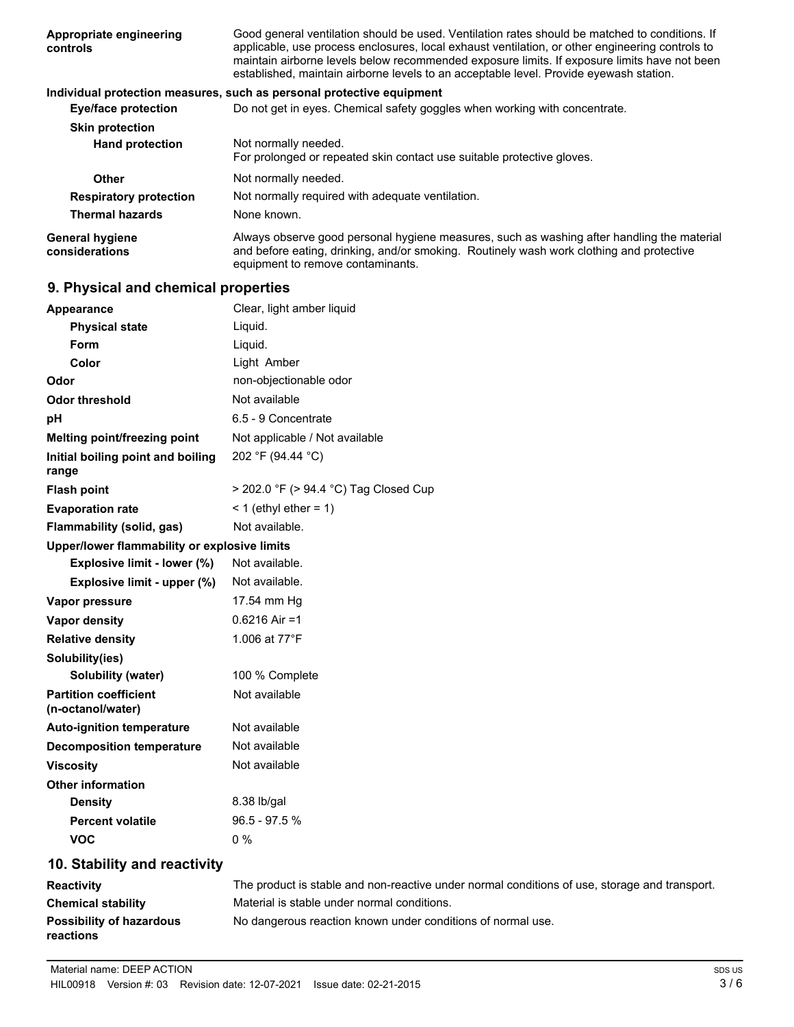| Good general ventilation should be used. Ventilation rates should be matched to conditions. If<br>applicable, use process enclosures, local exhaust ventilation, or other engineering controls to<br>maintain airborne levels below recommended exposure limits. If exposure limits have not been<br>established, maintain airborne levels to an acceptable level. Provide eyewash station. |
|---------------------------------------------------------------------------------------------------------------------------------------------------------------------------------------------------------------------------------------------------------------------------------------------------------------------------------------------------------------------------------------------|
| Individual protection measures, such as personal protective equipment                                                                                                                                                                                                                                                                                                                       |
| Do not get in eyes. Chemical safety goggles when working with concentrate.                                                                                                                                                                                                                                                                                                                  |
|                                                                                                                                                                                                                                                                                                                                                                                             |
| Not normally needed.<br>For prolonged or repeated skin contact use suitable protective gloves.                                                                                                                                                                                                                                                                                              |
| Not normally needed.                                                                                                                                                                                                                                                                                                                                                                        |
| Not normally required with adequate ventilation.                                                                                                                                                                                                                                                                                                                                            |
| None known.                                                                                                                                                                                                                                                                                                                                                                                 |
| Always observe good personal hygiene measures, such as washing after handling the material<br>and before eating, drinking, and/or smoking. Routinely wash work clothing and protective<br>equipment to remove contaminants.                                                                                                                                                                 |
|                                                                                                                                                                                                                                                                                                                                                                                             |

# **9. Physical and chemical properties**

| Appearance                                        | Clear, light amber liquid                                                                     |
|---------------------------------------------------|-----------------------------------------------------------------------------------------------|
| <b>Physical state</b>                             | Liquid.                                                                                       |
| Form                                              | Liquid.                                                                                       |
| Color                                             | Light Amber                                                                                   |
| Odor                                              | non-objectionable odor                                                                        |
| <b>Odor threshold</b>                             | Not available                                                                                 |
| pH                                                | 6.5 - 9 Concentrate                                                                           |
| Melting point/freezing point                      | Not applicable / Not available                                                                |
| Initial boiling point and boiling<br>range        | 202 °F (94.44 °C)                                                                             |
| <b>Flash point</b>                                | > 202.0 °F (> 94.4 °C) Tag Closed Cup                                                         |
| <b>Evaporation rate</b>                           | $<$ 1 (ethyl ether = 1)                                                                       |
| Flammability (solid, gas)                         | Not available.                                                                                |
| Upper/lower flammability or explosive limits      |                                                                                               |
| Explosive limit - lower (%)                       | Not available.                                                                                |
| Explosive limit - upper (%)                       | Not available.                                                                                |
| Vapor pressure                                    | 17.54 mm Hg                                                                                   |
| <b>Vapor density</b>                              | $0.6216$ Air =1                                                                               |
| <b>Relative density</b>                           | 1.006 at 77°F                                                                                 |
| Solubility(ies)                                   |                                                                                               |
| <b>Solubility (water)</b>                         | 100 % Complete                                                                                |
| <b>Partition coefficient</b><br>(n-octanol/water) | Not available                                                                                 |
| <b>Auto-ignition temperature</b>                  | Not available                                                                                 |
| <b>Decomposition temperature</b>                  | Not available                                                                                 |
| <b>Viscosity</b>                                  | Not available                                                                                 |
| <b>Other information</b>                          |                                                                                               |
| <b>Density</b>                                    | 8.38 lb/gal                                                                                   |
| <b>Percent volatile</b>                           | 96.5 - 97.5 %                                                                                 |
| <b>VOC</b>                                        | 0%                                                                                            |
| 10. Stability and reactivity                      |                                                                                               |
| <b>Reactivity</b>                                 | The product is stable and non-reactive under normal conditions of use, storage and transport. |
| <b>Chemical stability</b>                         | Material is stable under normal conditions.                                                   |

| <b>PRODUCED SCRIPTING</b>       | <b>Material is stable and of normal conditions.</b>         |
|---------------------------------|-------------------------------------------------------------|
| <b>Possibility of hazardous</b> | No dangerous reaction known under conditions of normal use. |
| reactions                       |                                                             |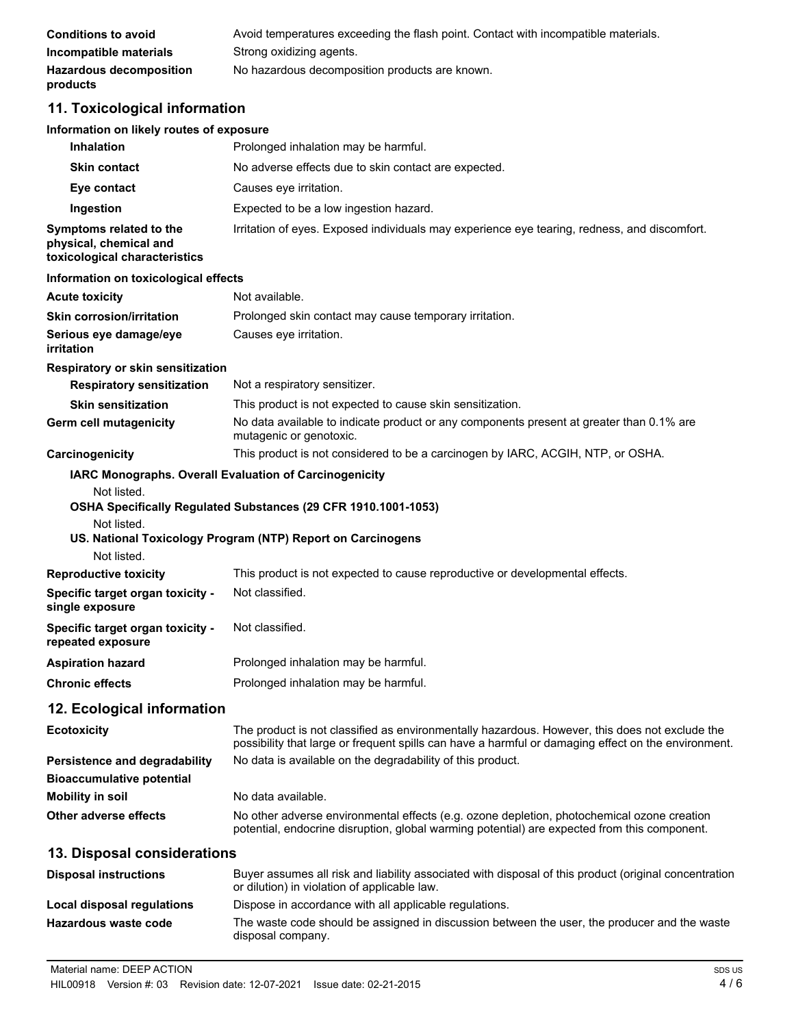| Conditions to avoid                        | Avoid temperatures exceeding the flash point. Contact with incompatible materials. |
|--------------------------------------------|------------------------------------------------------------------------------------|
| Incompatible materials                     | Strong oxidizing agents.                                                           |
| <b>Hazardous decomposition</b><br>products | No hazardous decomposition products are known.                                     |

### **11. Toxicological information**

#### **Information on likely routes of exposure**

| <b>Inhalation</b>                                                                  | Prolonged inhalation may be harmful.                                                                                                                                                                  |
|------------------------------------------------------------------------------------|-------------------------------------------------------------------------------------------------------------------------------------------------------------------------------------------------------|
| <b>Skin contact</b>                                                                | No adverse effects due to skin contact are expected.                                                                                                                                                  |
| Eye contact                                                                        | Causes eye irritation.                                                                                                                                                                                |
| Ingestion                                                                          | Expected to be a low ingestion hazard.                                                                                                                                                                |
| Symptoms related to the<br>physical, chemical and<br>toxicological characteristics | Irritation of eyes. Exposed individuals may experience eye tearing, redness, and discomfort.                                                                                                          |
| Information on toxicological effects                                               |                                                                                                                                                                                                       |
| <b>Acute toxicity</b>                                                              | Not available.                                                                                                                                                                                        |
| <b>Skin corrosion/irritation</b>                                                   | Prolonged skin contact may cause temporary irritation.                                                                                                                                                |
| Serious eye damage/eye<br>irritation                                               | Causes eye irritation.                                                                                                                                                                                |
| Respiratory or skin sensitization                                                  |                                                                                                                                                                                                       |
| <b>Respiratory sensitization</b>                                                   | Not a respiratory sensitizer.                                                                                                                                                                         |
| <b>Skin sensitization</b>                                                          | This product is not expected to cause skin sensitization.                                                                                                                                             |
| Germ cell mutagenicity                                                             | No data available to indicate product or any components present at greater than 0.1% are<br>mutagenic or genotoxic.                                                                                   |
| Carcinogenicity                                                                    | This product is not considered to be a carcinogen by IARC, ACGIH, NTP, or OSHA.                                                                                                                       |
| Not listed.<br>Not listed.                                                         | OSHA Specifically Regulated Substances (29 CFR 1910.1001-1053)<br>US. National Toxicology Program (NTP) Report on Carcinogens                                                                         |
| <b>Reproductive toxicity</b>                                                       | This product is not expected to cause reproductive or developmental effects.                                                                                                                          |
| Specific target organ toxicity -<br>single exposure                                | Not classified.                                                                                                                                                                                       |
| Specific target organ toxicity -<br>repeated exposure                              | Not classified.                                                                                                                                                                                       |
| <b>Aspiration hazard</b>                                                           | Prolonged inhalation may be harmful.                                                                                                                                                                  |
| <b>Chronic effects</b>                                                             | Prolonged inhalation may be harmful.                                                                                                                                                                  |
| 12. Ecological information                                                         |                                                                                                                                                                                                       |
| <b>Ecotoxicity</b>                                                                 | The product is not classified as environmentally hazardous. However, this does not exclude the<br>possibility that large or frequent spills can have a harmful or damaging effect on the environment. |
| <b>Persistence and degradability</b>                                               | No data is available on the degradability of this product.                                                                                                                                            |
| <b>Bioaccumulative potential</b>                                                   |                                                                                                                                                                                                       |
| <b>Mobility in soil</b>                                                            | No data available.                                                                                                                                                                                    |
| <b>Other adverse effects</b>                                                       | No other adverse environmental effects (e.g. ozone depletion, photochemical ozone creation<br>potential, endocrine disruption, global warming potential) are expected from this component.            |
| 13. Disposal considerations                                                        |                                                                                                                                                                                                       |
| <b>Disposal instructions</b>                                                       | Buyer assumes all risk and liability associated with disposal of this product (original concentration<br>or dilution) in violation of applicable law.                                                 |
| Local disposal regulations                                                         | Dispose in accordance with all applicable regulations.                                                                                                                                                |
| Hazardous waste code                                                               | The waste code should be assigned in discussion between the user, the producer and the waste                                                                                                          |

disposal company.

HIL00918 Version #: 03 Revision date: 12-07-2021 Issue date: 02-21-2015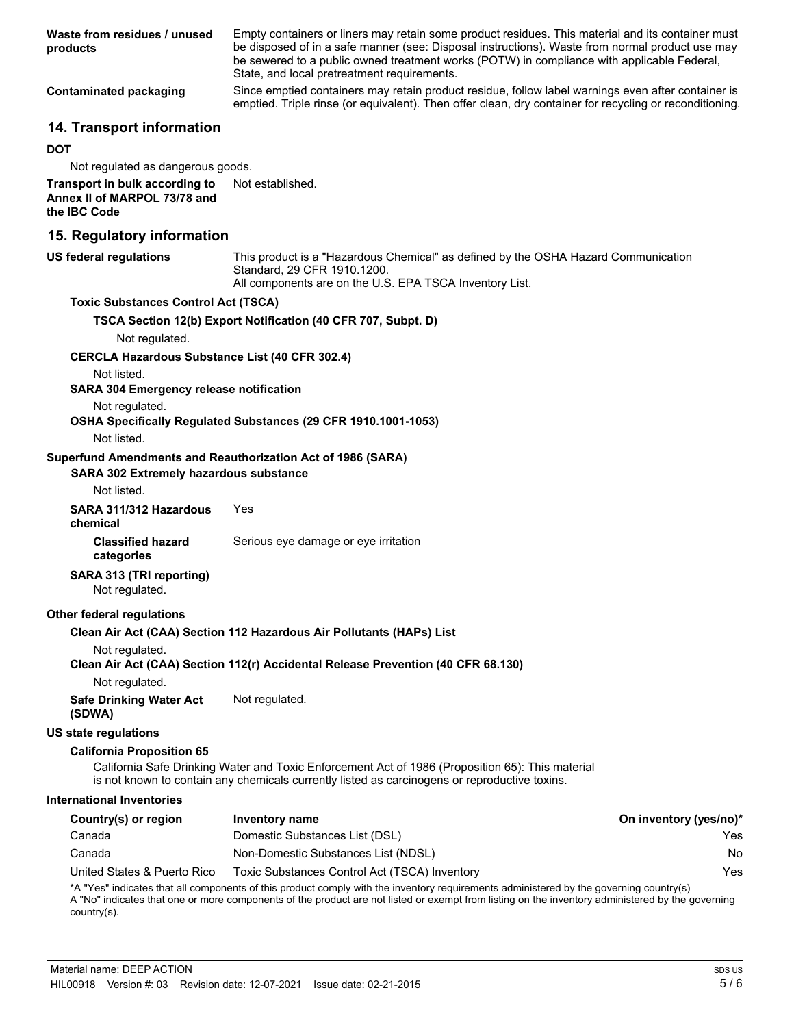| Waste from residues / unused<br>products                                                                                    | Empty containers or liners may retain some product residues. This material and its container must<br>be disposed of in a safe manner (see: Disposal instructions). Waste from normal product use may<br>be sewered to a public owned treatment works (POTW) in compliance with applicable Federal,<br>State, and local pretreatment requirements. |                        |
|-----------------------------------------------------------------------------------------------------------------------------|---------------------------------------------------------------------------------------------------------------------------------------------------------------------------------------------------------------------------------------------------------------------------------------------------------------------------------------------------|------------------------|
| <b>Contaminated packaging</b>                                                                                               | Since emptied containers may retain product residue, follow label warnings even after container is<br>emptied. Triple rinse (or equivalent). Then offer clean, dry container for recycling or reconditioning.                                                                                                                                     |                        |
| 14. Transport information                                                                                                   |                                                                                                                                                                                                                                                                                                                                                   |                        |
| <b>DOT</b>                                                                                                                  |                                                                                                                                                                                                                                                                                                                                                   |                        |
| Not regulated as dangerous goods.                                                                                           |                                                                                                                                                                                                                                                                                                                                                   |                        |
| Transport in bulk according to<br>Annex II of MARPOL 73/78 and<br>the IBC Code                                              | Not established.                                                                                                                                                                                                                                                                                                                                  |                        |
| 15. Regulatory information                                                                                                  |                                                                                                                                                                                                                                                                                                                                                   |                        |
| <b>US federal regulations</b>                                                                                               | This product is a "Hazardous Chemical" as defined by the OSHA Hazard Communication<br>Standard, 29 CFR 1910.1200.<br>All components are on the U.S. EPA TSCA Inventory List.                                                                                                                                                                      |                        |
| <b>Toxic Substances Control Act (TSCA)</b>                                                                                  |                                                                                                                                                                                                                                                                                                                                                   |                        |
|                                                                                                                             | TSCA Section 12(b) Export Notification (40 CFR 707, Subpt. D)                                                                                                                                                                                                                                                                                     |                        |
| Not regulated.                                                                                                              |                                                                                                                                                                                                                                                                                                                                                   |                        |
| <b>CERCLA Hazardous Substance List (40 CFR 302.4)</b>                                                                       |                                                                                                                                                                                                                                                                                                                                                   |                        |
| Not listed.<br><b>SARA 304 Emergency release notification</b>                                                               |                                                                                                                                                                                                                                                                                                                                                   |                        |
| Not regulated.<br>Not listed.                                                                                               | OSHA Specifically Regulated Substances (29 CFR 1910.1001-1053)                                                                                                                                                                                                                                                                                    |                        |
| Superfund Amendments and Reauthorization Act of 1986 (SARA)<br><b>SARA 302 Extremely hazardous substance</b><br>Not listed. |                                                                                                                                                                                                                                                                                                                                                   |                        |
| SARA 311/312 Hazardous                                                                                                      | Yes                                                                                                                                                                                                                                                                                                                                               |                        |
| chemical                                                                                                                    |                                                                                                                                                                                                                                                                                                                                                   |                        |
| <b>Classified hazard</b><br>categories                                                                                      | Serious eye damage or eye irritation                                                                                                                                                                                                                                                                                                              |                        |
| SARA 313 (TRI reporting)<br>Not regulated.                                                                                  |                                                                                                                                                                                                                                                                                                                                                   |                        |
| <b>Other federal regulations</b>                                                                                            |                                                                                                                                                                                                                                                                                                                                                   |                        |
|                                                                                                                             | Clean Air Act (CAA) Section 112 Hazardous Air Pollutants (HAPs) List                                                                                                                                                                                                                                                                              |                        |
| Not regulated.                                                                                                              | Clean Air Act (CAA) Section 112(r) Accidental Release Prevention (40 CFR 68.130)                                                                                                                                                                                                                                                                  |                        |
| Not regulated.                                                                                                              |                                                                                                                                                                                                                                                                                                                                                   |                        |
| <b>Safe Drinking Water Act</b><br>(SDWA)                                                                                    | Not regulated.                                                                                                                                                                                                                                                                                                                                    |                        |
| US state regulations                                                                                                        |                                                                                                                                                                                                                                                                                                                                                   |                        |
| <b>California Proposition 65</b>                                                                                            | California Safe Drinking Water and Toxic Enforcement Act of 1986 (Proposition 65): This material<br>is not known to contain any chemicals currently listed as carcinogens or reproductive toxins.                                                                                                                                                 |                        |
| <b>International Inventories</b>                                                                                            |                                                                                                                                                                                                                                                                                                                                                   |                        |
| Country(s) or region                                                                                                        | Inventory name                                                                                                                                                                                                                                                                                                                                    | On inventory (yes/no)* |
| Canada                                                                                                                      | Domestic Substances List (DSL)                                                                                                                                                                                                                                                                                                                    | Yes                    |
| Canada                                                                                                                      | Non-Domestic Substances List (NDSL)                                                                                                                                                                                                                                                                                                               | No                     |
| United States & Puerto Rico                                                                                                 | Toxic Substances Control Act (TSCA) Inventory                                                                                                                                                                                                                                                                                                     | Yes                    |
| country(s).                                                                                                                 | *A "Yes" indicates that all components of this product comply with the inventory requirements administered by the governing country(s)<br>A "No" indicates that one or more components of the product are not listed or exempt from listing on the inventory administered by the governing                                                        |                        |